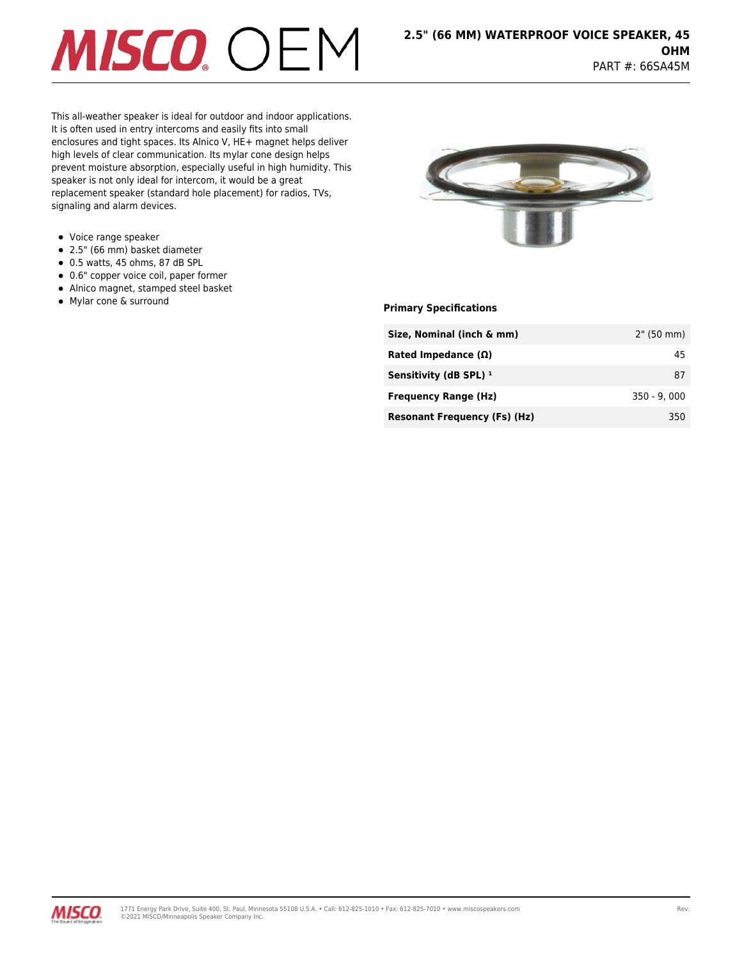# **MISCO** OEM

This all-weather speaker is ideal for outdoor and indoor applications. It is often used in entry intercoms and easily fits into small enclosures and tight spaces. Its Alnico V, HE+ magnet helps deliver high levels of clear communication. Its mylar cone design helps prevent moisture absorption, especially useful in high humidity. This speaker is not only ideal for intercom, it would be a great replacement speaker (standard hole placement) for radios, TVs, signaling and alarm devices.

- Voice range speaker
- 2.5" (66 mm) basket diameter
- $\bullet$  0.5 watts, 45 ohms, 87 dB SPL
- 0.6" copper voice coil, paper former
- Alnico magnet, stamped steel basket
- **Mylar cone & surround example 20 and 20 and 20 and 20 and 20 and 20 and 20 and 20 and 20 and 20 and 20 and 20 and 20 and 20 and 20 and 20 and 20 and 20 and 20 and 20 and 20 and 20 and 20 and 20 and 20 and 20 and 20 and**



| Size, Nominal (inch & mm)           | 2" (50 mm)    |
|-------------------------------------|---------------|
| Rated Impedance $(\Omega)$          | 45            |
| Sensitivity (dB SPL) $1$            | 87            |
| <b>Frequency Range (Hz)</b>         | $350 - 9.000$ |
| <b>Resonant Frequency (Fs) (Hz)</b> | 350           |

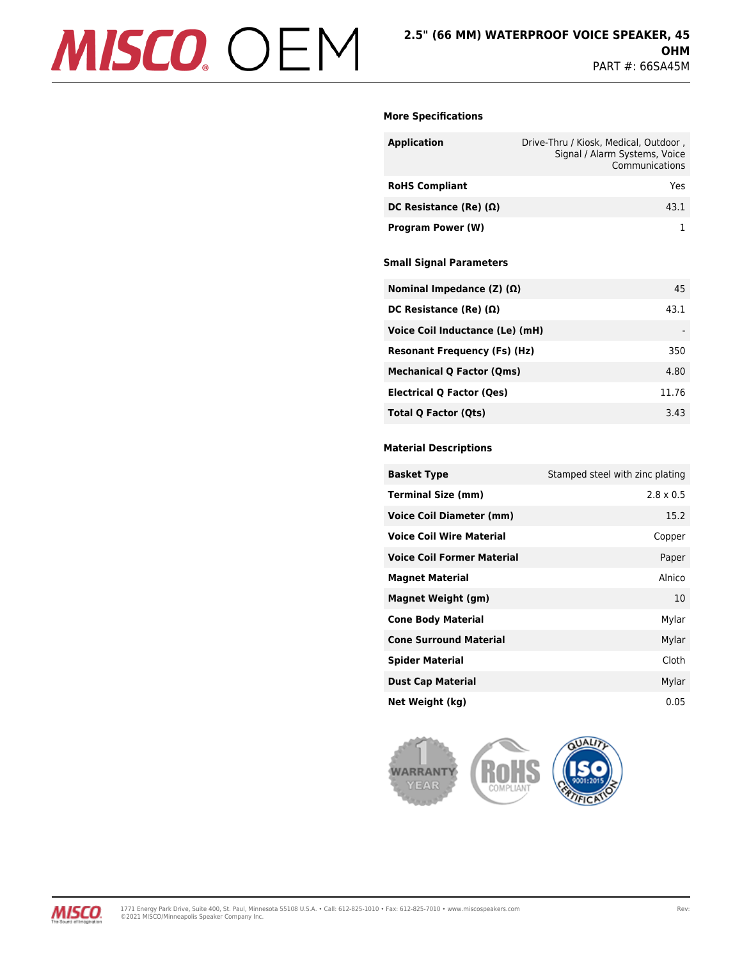# MISCO. OEM

## **More Specifications**

| <b>Application</b>            | Drive-Thru / Kiosk, Medical, Outdoor,<br>Signal / Alarm Systems, Voice<br>Communications |
|-------------------------------|------------------------------------------------------------------------------------------|
| <b>RoHS Compliant</b>         | Yes                                                                                      |
| DC Resistance (Re) $(\Omega)$ | 43.1                                                                                     |
| <b>Program Power (W)</b>      |                                                                                          |

## **Small Signal Parameters**

| Nominal Impedance (Z) (Ω)           | 45    |
|-------------------------------------|-------|
| DC Resistance (Re) $(\Omega)$       | 43.1  |
| Voice Coil Inductance (Le) (mH)     |       |
| <b>Resonant Frequency (Fs) (Hz)</b> | 350   |
| <b>Mechanical Q Factor (Qms)</b>    | 4.80  |
| Electrical Q Factor (Qes)           | 11.76 |
| Total Q Factor (Qts)                | 3.43  |

## **Material Descriptions**

| <b>Basket Type</b>                | Stamped steel with zinc plating |
|-----------------------------------|---------------------------------|
| <b>Terminal Size (mm)</b>         | $2.8 \times 0.5$                |
| <b>Voice Coil Diameter (mm)</b>   | 15.2                            |
| <b>Voice Coil Wire Material</b>   | Copper                          |
| <b>Voice Coil Former Material</b> | Paper                           |
| <b>Magnet Material</b>            | Alnico                          |
| <b>Magnet Weight (gm)</b>         | 10                              |
| <b>Cone Body Material</b>         | Mylar                           |
| <b>Cone Surround Material</b>     | Mylar                           |
| <b>Spider Material</b>            | Cloth                           |
| <b>Dust Cap Material</b>          | Mylar                           |
| Net Weight (kg)                   | 0.05                            |